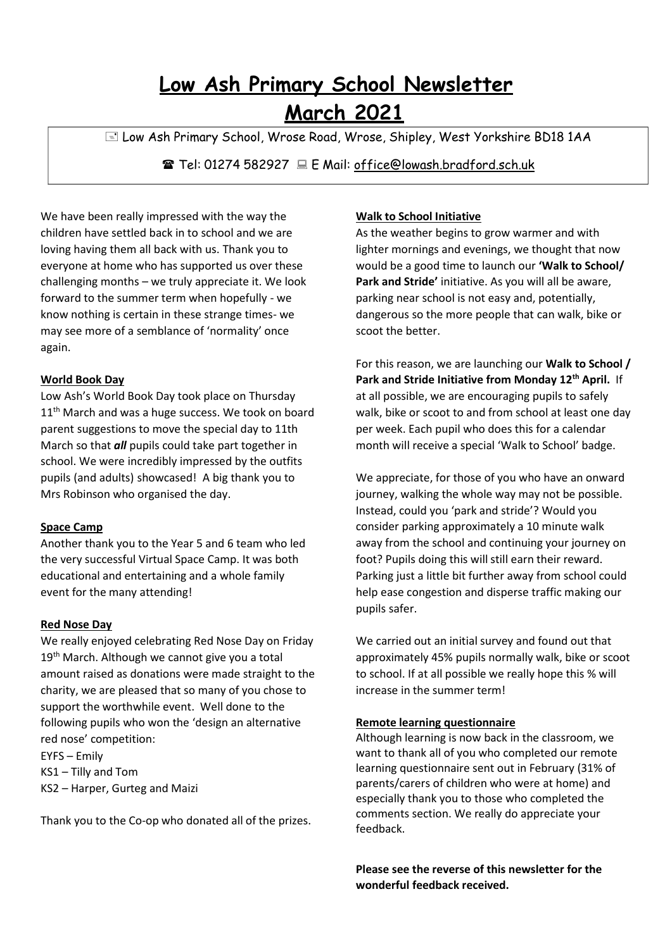# **Low Ash Primary School Newsletter March 2021**

E Low Ash Primary School, Wrose Road, Wrose, Shipley, West Yorkshire BD18 1AA

Tel: 01274 582927 E Mail: [office@lowash.bradford.sch.uk](mailto:office@lowash.bradford.sch.uk)

We have been really impressed with the way the children have settled back in to school and we are loving having them all back with us. Thank you to everyone at home who has supported us over these challenging months – we truly appreciate it. We look forward to the summer term when hopefully - we know nothing is certain in these strange times- we may see more of a semblance of 'normality' once again.

#### **World Book Day**

Low Ash's World Book Day took place on Thursday 11<sup>th</sup> March and was a huge success. We took on board parent suggestions to move the special day to 11th March so that *all* pupils could take part together in school. We were incredibly impressed by the outfits pupils (and adults) showcased! A big thank you to Mrs Robinson who organised the day.

### **Space Camp**

Another thank you to the Year 5 and 6 team who led the very successful Virtual Space Camp. It was both educational and entertaining and a whole family event for the many attending!

### **Red Nose Day**

We really enjoyed celebrating Red Nose Day on Friday 19<sup>th</sup> March. Although we cannot give you a total amount raised as donations were made straight to the charity, we are pleased that so many of you chose to support the worthwhile event. Well done to the following pupils who won the 'design an alternative red nose' competition:

EYFS – Emily KS1 – Tilly and Tom KS2 – Harper, Gurteg and Maizi

Thank you to the Co-op who donated all of the prizes.

## **Walk to School Initiative**

As the weather begins to grow warmer and with lighter mornings and evenings, we thought that now would be a good time to launch our **'Walk to School/ Park and Stride'** initiative. As you will all be aware, parking near school is not easy and, potentially, dangerous so the more people that can walk, bike or scoot the better.

For this reason, we are launching our **Walk to School / Park and Stride Initiative from Monday 12th April.** If at all possible, we are encouraging pupils to safely walk, bike or scoot to and from school at least one day per week. Each pupil who does this for a calendar month will receive a special 'Walk to School' badge.

We appreciate, for those of you who have an onward journey, walking the whole way may not be possible. Instead, could you 'park and stride'? Would you consider parking approximately a 10 minute walk away from the school and continuing your journey on foot? Pupils doing this will still earn their reward. Parking just a little bit further away from school could help ease congestion and disperse traffic making our pupils safer.

We carried out an initial survey and found out that approximately 45% pupils normally walk, bike or scoot to school. If at all possible we really hope this % will increase in the summer term!

### **Remote learning questionnaire**

Although learning is now back in the classroom, we want to thank all of you who completed our remote learning questionnaire sent out in February (31% of parents/carers of children who were at home) and especially thank you to those who completed the comments section. We really do appreciate your feedback.

**Please see the reverse of this newsletter for the wonderful feedback received.**